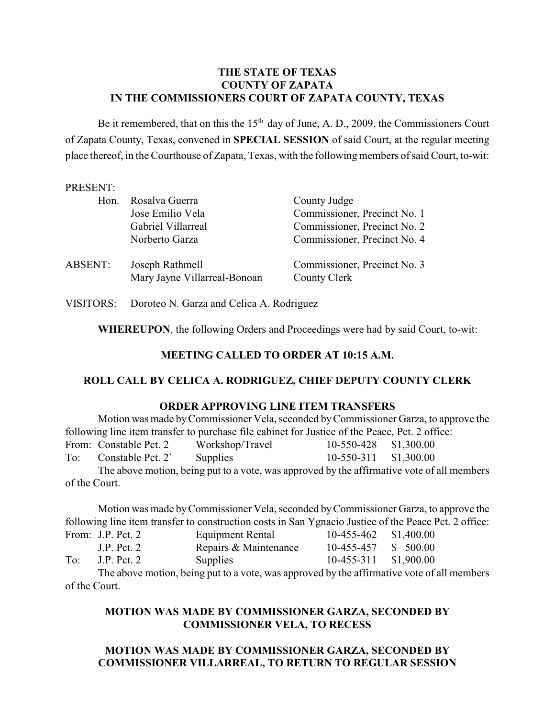### **THE STATE OF TEXAS COUNTY OF ZAPATA IN THE COMMISSIONERS COURT OF ZAPATA COUNTY, TEXAS**

Be it remembered, that on this the  $15<sup>th</sup>$  day of June, A. D., 2009, the Commissioners Court of Zapata County, Texas, convened in **SPECIAL SESSION** of said Court, at the regular meeting place thereof, in the Courthouse of Zapata, Texas, with the following members of said Court, to-wit:

#### PRESENT:

| Hon.    | Rosalva Guerra<br>Jose Emilio Vela<br>Gabriel Villarreal<br>Norberto Garza | County Judge<br>Commissioner, Precinct No. 1<br>Commissioner, Precinct No. 2<br>Commissioner, Precinct No. 4 |
|---------|----------------------------------------------------------------------------|--------------------------------------------------------------------------------------------------------------|
| ABSENT: | Joseph Rathmell<br>Mary Jayne Villarreal-Bonoan                            | Commissioner, Precinct No. 3<br>County Clerk                                                                 |

VISITORS: Doroteo N. Garza and Celica A. Rodriguez

**WHEREUPON**, the following Orders and Proceedings were had by said Court, to-wit:

### **MEETING CALLED TO ORDER AT 10:15 A.M.**

#### **ROLL CALL BY CELICA A. RODRIGUEZ, CHIEF DEPUTY COUNTY CLERK**

#### **ORDER APPROVING LINE ITEM TRANSFERS**

Motion was made by Commissioner Vela, seconded by Commissioner Garza, to approve the following line item transfer to purchase file cabinet for Justice of the Peace, Pct. 2 office: From: Constable Pct. 2 Workshop/Travel 10-550-428 \$1,300.00 To: Constable Pct. 2` Supplies 10-550-311 \$1,300.00 The above motion, being put to a vote, was approved by the affirmative vote of all members of the Court.

Motion was made by Commissioner Vela, seconded by Commissioner Garza, to approve the following line item transfer to construction costs in San Ygnacio Justice of the Peace Pct. 2 office: From: J.P. Pct. 2 Equipment Rental 10-455-462 \$1,400.00 J.P. Pct. 2 Repairs & Maintenance 10-455-457 \$ 500.00 To: J.P. Pct. 2 Supplies 10-455-311 \$1,900.00

The above motion, being put to a vote, was approved by the affirmative vote of all members of the Court.

# **MOTION WAS MADE BY COMMISSIONER GARZA, SECONDED BY COMMISSIONER VELA, TO RECESS**

# **MOTION WAS MADE BY COMMISSIONER GARZA, SECONDED BY COMMISSIONER VILLARREAL, TO RETURN TO REGULAR SESSION**